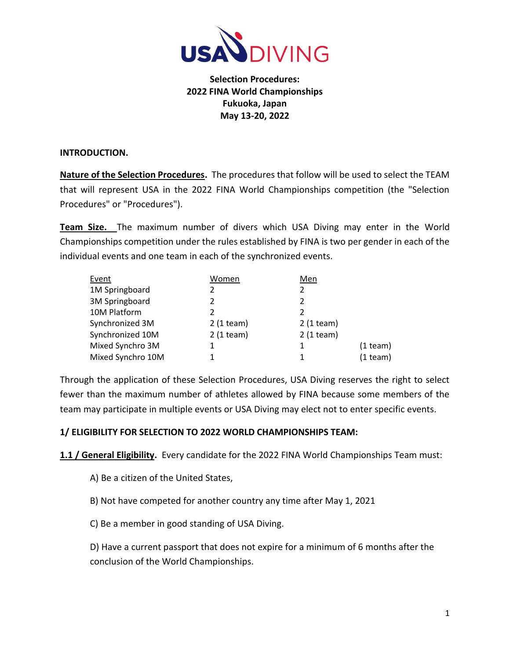

## **Selection Procedures: 2022 FINA World Championships Fukuoka, Japan May 13-20, 2022**

#### **INTRODUCTION.**

**Nature of the Selection Procedures.** The procedures that follow will be used to select the TEAM that will represent USA in the 2022 FINA World Championships competition (the "Selection Procedures" or "Procedures").

**Team Size.** The maximum number of divers which USA Diving may enter in the World Championships competition under the rules established by FINA is two per gender in each of the individual events and one team in each of the synchronized events.

| Event             | Women       | Men           |            |
|-------------------|-------------|---------------|------------|
| 1M Springboard    |             |               |            |
| 3M Springboard    | 2           | $\mathfrak z$ |            |
| 10M Platform      | 2           |               |            |
| Synchronized 3M   | $2(1$ team) | $2(1$ team)   |            |
| Synchronized 10M  | $2(1$ team) | $2(1$ team)   |            |
| Mixed Synchro 3M  |             | 1             | $(1$ team) |
| Mixed Synchro 10M |             | 1             | $(1$ team) |

Through the application of these Selection Procedures, USA Diving reserves the right to select fewer than the maximum number of athletes allowed by FINA because some members of the team may participate in multiple events or USA Diving may elect not to enter specific events.

#### **1/ ELIGIBILITY FOR SELECTION TO 2022 WORLD CHAMPIONSHIPS TEAM:**

**1.1 / General Eligibility.** Every candidate for the 2022 FINA World Championships Team must:

A) Be a citizen of the United States,

B) Not have competed for another country any time after May 1, 2021

C) Be a member in good standing of USA Diving.

D) Have a current passport that does not expire for a minimum of 6 months after the conclusion of the World Championships.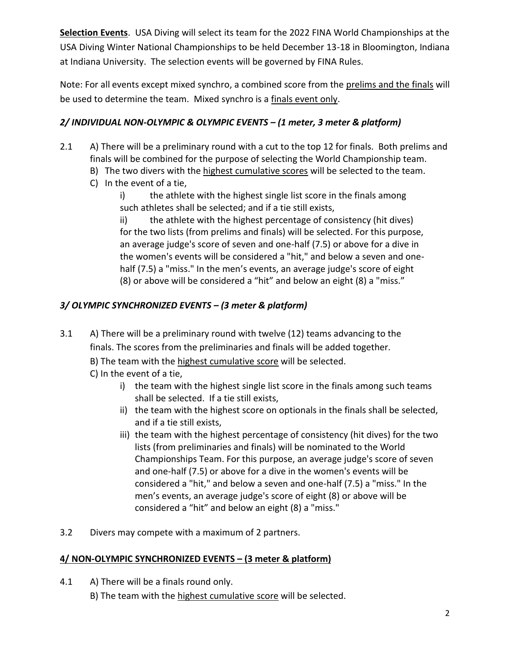**Selection Events**. USA Diving will select its team for the 2022 FINA World Championships at the USA Diving Winter National Championships to be held December 13-18 in Bloomington, Indiana at Indiana University. The selection events will be governed by FINA Rules.

Note: For all events except mixed synchro, a combined score from the prelims and the finals will be used to determine the team. Mixed synchro is a finals event only.

## *2/ INDIVIDUAL NON-OLYMPIC & OLYMPIC EVENTS – (1 meter, 3 meter & platform)*

- 2.1 A) There will be a preliminary round with a cut to the top 12 for finals. Both prelims and finals will be combined for the purpose of selecting the World Championship team.
	- B) The two divers with the highest cumulative scores will be selected to the team.
	- C) In the event of a tie,
		- i) the athlete with the highest single list score in the finals among such athletes shall be selected; and if a tie still exists,

ii) the athlete with the highest percentage of consistency (hit dives) for the two lists (from prelims and finals) will be selected. For this purpose, an average judge's score of seven and one-half (7.5) or above for a dive in the women's events will be considered a "hit," and below a seven and onehalf (7.5) a "miss." In the men's events, an average judge's score of eight (8) or above will be considered a "hit" and below an eight (8) a "miss."

# *3/ OLYMPIC SYNCHRONIZED EVENTS – (3 meter & platform)*

- 3.1 A) There will be a preliminary round with twelve (12) teams advancing to the finals. The scores from the preliminaries and finals will be added together.
	- B) The team with the highest cumulative score will be selected.
	- C) In the event of a tie,
		- i) the team with the highest single list score in the finals among such teams shall be selected. If a tie still exists,
		- ii) the team with the highest score on optionals in the finals shall be selected, and if a tie still exists,
		- iii) the team with the highest percentage of consistency (hit dives) for the two lists (from preliminaries and finals) will be nominated to the World Championships Team. For this purpose, an average judge's score of seven and one-half (7.5) or above for a dive in the women's events will be considered a "hit," and below a seven and one-half (7.5) a "miss." In the men's events, an average judge's score of eight (8) or above will be considered a "hit" and below an eight (8) a "miss."
- 3.2 Divers may compete with a maximum of 2 partners.

## **4/ NON-OLYMPIC SYNCHRONIZED EVENTS – (3 meter & platform)**

4.1 A) There will be a finals round only.

B) The team with the highest cumulative score will be selected.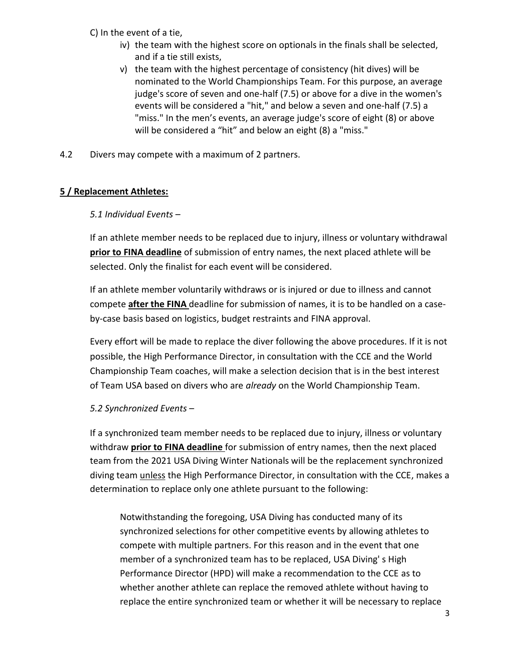- C) In the event of a tie,
	- iv) the team with the highest score on optionals in the finals shall be selected, and if a tie still exists,
	- v) the team with the highest percentage of consistency (hit dives) will be nominated to the World Championships Team. For this purpose, an average judge's score of seven and one-half (7.5) or above for a dive in the women's events will be considered a "hit," and below a seven and one-half (7.5) a "miss." In the men's events, an average judge's score of eight (8) or above will be considered a "hit" and below an eight (8) a "miss."
- 4.2 Divers may compete with a maximum of 2 partners.

## **5 / Replacement Athletes:**

#### *5.1 Individual Events* –

If an athlete member needs to be replaced due to injury, illness or voluntary withdrawal **prior to FINA deadline** of submission of entry names, the next placed athlete will be selected. Only the finalist for each event will be considered.

If an athlete member voluntarily withdraws or is injured or due to illness and cannot compete **after the FINA** deadline for submission of names, it is to be handled on a caseby-case basis based on logistics, budget restraints and FINA approval.

Every effort will be made to replace the diver following the above procedures. If it is not possible, the High Performance Director, in consultation with the CCE and the World Championship Team coaches, will make a selection decision that is in the best interest of Team USA based on divers who are *already* on the World Championship Team.

#### *5.2 Synchronized Events* –

If a synchronized team member needs to be replaced due to injury, illness or voluntary withdraw **prior to FINA deadline** for submission of entry names, then the next placed team from the 2021 USA Diving Winter Nationals will be the replacement synchronized diving team unless the High Performance Director, in consultation with the CCE, makes a determination to replace only one athlete pursuant to the following:

Notwithstanding the foregoing, USA Diving has conducted many of its synchronized selections for other competitive events by allowing athletes to compete with multiple partners. For this reason and in the event that one member of a synchronized team has to be replaced, USA Diving' s High Performance Director (HPD) will make a recommendation to the CCE as to whether another athlete can replace the removed athlete without having to replace the entire synchronized team or whether it will be necessary to replace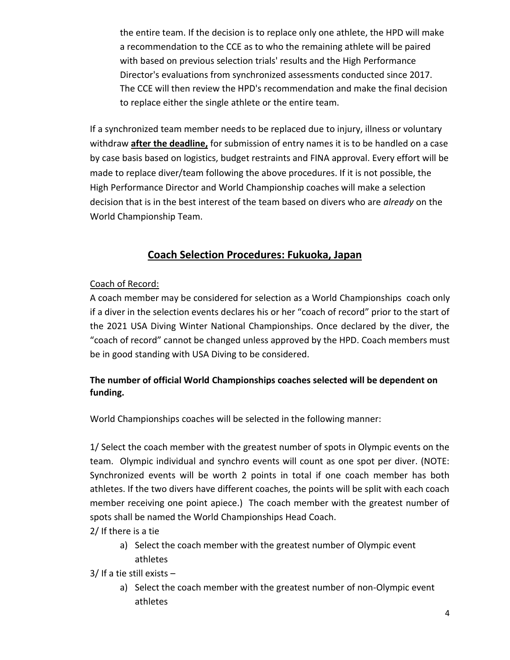the entire team. If the decision is to replace only one athlete, the HPD will make a recommendation to the CCE as to who the remaining athlete will be paired with based on previous selection trials' results and the High Performance Director's evaluations from synchronized assessments conducted since 2017. The CCE will then review the HPD's recommendation and make the final decision to replace either the single athlete or the entire team.

If a synchronized team member needs to be replaced due to injury, illness or voluntary withdraw **after the deadline,** for submission of entry names it is to be handled on a case by case basis based on logistics, budget restraints and FINA approval. Every effort will be made to replace diver/team following the above procedures. If it is not possible, the High Performance Director and World Championship coaches will make a selection decision that is in the best interest of the team based on divers who are *already* on the World Championship Team.

# **Coach Selection Procedures: Fukuoka, Japan**

#### Coach of Record:

A coach member may be considered for selection as a World Championships coach only if a diver in the selection events declares his or her "coach of record" prior to the start of the 2021 USA Diving Winter National Championships. Once declared by the diver, the "coach of record" cannot be changed unless approved by the HPD. Coach members must be in good standing with USA Diving to be considered.

## **The number of official World Championships coaches selected will be dependent on funding.**

World Championships coaches will be selected in the following manner:

1/ Select the coach member with the greatest number of spots in Olympic events on the team. Olympic individual and synchro events will count as one spot per diver. (NOTE: Synchronized events will be worth 2 points in total if one coach member has both athletes. If the two divers have different coaches, the points will be split with each coach member receiving one point apiece.) The coach member with the greatest number of spots shall be named the World Championships Head Coach.

2/ If there is a tie

a) Select the coach member with the greatest number of Olympic event athletes

3/ If a tie still exists –

a) Select the coach member with the greatest number of non-Olympic event athletes